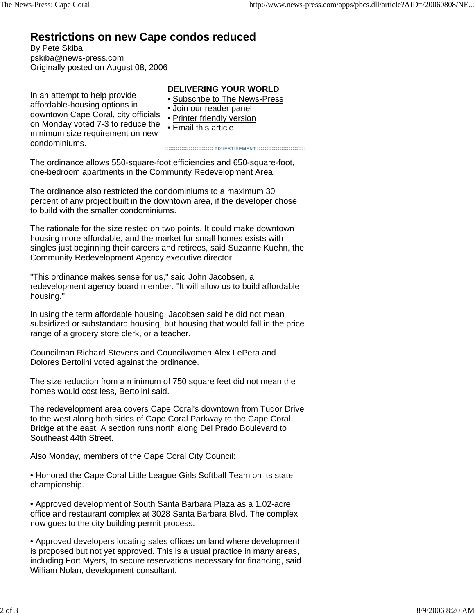## **Restrictions on new Cape condos reduced**

By Pete Skiba pskiba@news-press.com Originally posted on August 08, 2006

In an attempt to help provide affordable-housing options in downtown Cape Coral, city officials on Monday voted 7-3 to reduce the minimum size requirement on new condominiums.

## **DELIVERING YOUR WORLD**

- Subscribe to The News-Press
- Join our reader panel
- Printer friendly version
- Email this article

The ordinance allows 550-square-foot efficiencies and 650-square-foot, one-bedroom apartments in the Community Redevelopment Area.

The ordinance also restricted the condominiums to a maximum 30 percent of any project built in the downtown area, if the developer chose to build with the smaller condominiums.

The rationale for the size rested on two points. It could make downtown housing more affordable, and the market for small homes exists with singles just beginning their careers and retirees, said Suzanne Kuehn, the Community Redevelopment Agency executive director.

"This ordinance makes sense for us," said John Jacobsen, a redevelopment agency board member. "It will allow us to build affordable housing."

In using the term affordable housing, Jacobsen said he did not mean subsidized or substandard housing, but housing that would fall in the price range of a grocery store clerk, or a teacher.

Councilman Richard Stevens and Councilwomen Alex LePera and Dolores Bertolini voted against the ordinance.

The size reduction from a minimum of 750 square feet did not mean the homes would cost less, Bertolini said.

The redevelopment area covers Cape Coral's downtown from Tudor Drive to the west along both sides of Cape Coral Parkway to the Cape Coral Bridge at the east. A section runs north along Del Prado Boulevard to Southeast 44th Street.

Also Monday, members of the Cape Coral City Council:

• Honored the Cape Coral Little League Girls Softball Team on its state championship.

• Approved development of South Santa Barbara Plaza as a 1.02-acre office and restaurant complex at 3028 Santa Barbara Blvd. The complex now goes to the city building permit process.

• Approved developers locating sales offices on land where development is proposed but not yet approved. This is a usual practice in many areas, including Fort Myers, to secure reservations necessary for financing, said William Nolan, development consultant.